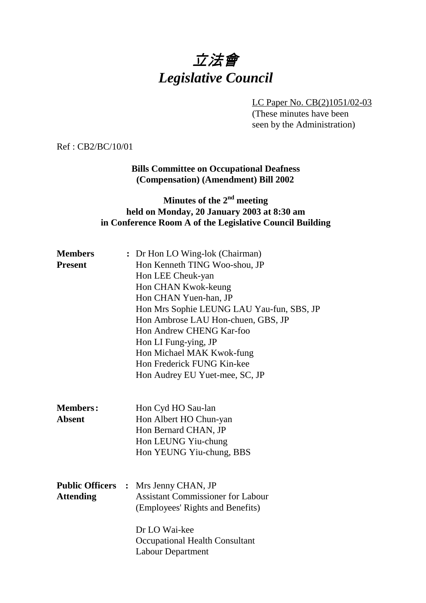# 立法會 *Legislative Council*

LC Paper No. CB(2)1051/02-03 (These minutes have been seen by the Administration)

Ref : CB2/BC/10/01

## **Bills Committee on Occupational Deafness (Compensation) (Amendment) Bill 2002**

# **Minutes of the 2nd meeting held on Monday, 20 January 2003 at 8:30 am in Conference Room A of the Legislative Council Building**

| <b>Members</b>                             |                | : Dr Hon LO Wing-lok (Chairman)                                                                                         |
|--------------------------------------------|----------------|-------------------------------------------------------------------------------------------------------------------------|
| <b>Present</b>                             |                | Hon Kenneth TING Woo-shou, JP                                                                                           |
|                                            |                | Hon LEE Cheuk-yan                                                                                                       |
|                                            |                | Hon CHAN Kwok-keung                                                                                                     |
|                                            |                | Hon CHAN Yuen-han, JP                                                                                                   |
|                                            |                | Hon Mrs Sophie LEUNG LAU Yau-fun, SBS, JP                                                                               |
|                                            |                | Hon Ambrose LAU Hon-chuen, GBS, JP                                                                                      |
|                                            |                | Hon Andrew CHENG Kar-foo                                                                                                |
|                                            |                | Hon LI Fung-ying, JP                                                                                                    |
|                                            |                | Hon Michael MAK Kwok-fung                                                                                               |
|                                            |                | Hon Frederick FUNG Kin-kee                                                                                              |
|                                            |                | Hon Audrey EU Yuet-mee, SC, JP                                                                                          |
| <b>Members:</b><br><b>Absent</b>           |                | Hon Cyd HO Sau-lan<br>Hon Albert HO Chun-yan<br>Hon Bernard CHAN, JP<br>Hon LEUNG Yiu-chung<br>Hon YEUNG Yiu-chung, BBS |
| <b>Public Officers</b><br><b>Attending</b> | $\ddot{\cdot}$ | Mrs Jenny CHAN, JP<br><b>Assistant Commissioner for Labour</b><br>(Employees' Rights and Benefits)                      |
|                                            |                | Dr LO Wai-kee<br>Occupational Health Consultant<br><b>Labour Department</b>                                             |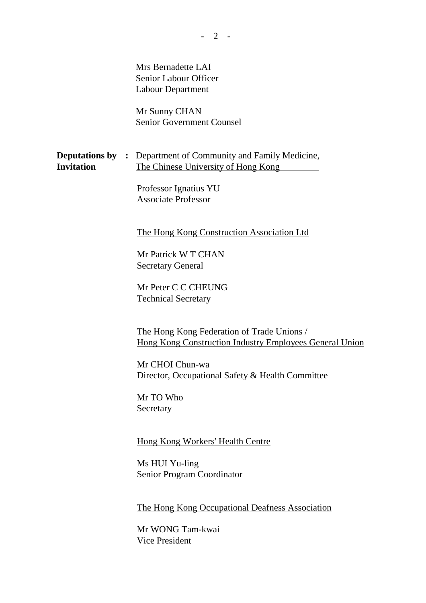Mrs Bernadette LAI Senior Labour Officer Labour Department

Mr Sunny CHAN Senior Government Counsel

|                   | <b>Deputations by :</b> Department of Community and Family Medicine, |
|-------------------|----------------------------------------------------------------------|
| <b>Invitation</b> | The Chinese University of Hong Kong                                  |

Professor Ignatius YU Associate Professor

The Hong Kong Construction Association Ltd

Mr Patrick W T CHAN Secretary General

Mr Peter C C CHEUNG Technical Secretary

The Hong Kong Federation of Trade Unions / Hong Kong Construction Industry Employees General Union

Mr CHOI Chun-wa Director, Occupational Safety & Health Committee

Mr TO Who Secretary

Hong Kong Workers' Health Centre

Ms HUI Yu-ling Senior Program Coordinator

The Hong Kong Occupational Deafness Association

Mr WONG Tam-kwai Vice President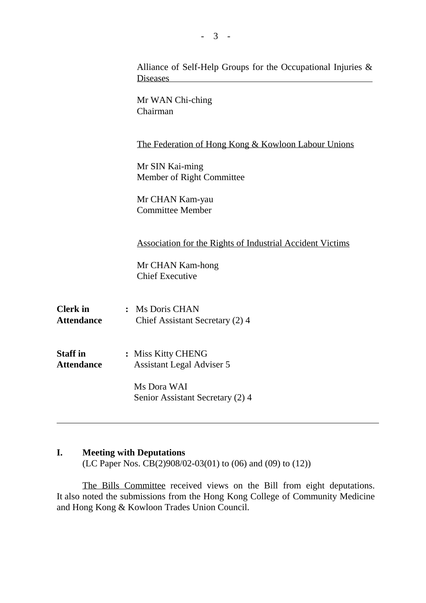|                                      | Alliance of Self-Help Groups for the Occupational Injuries $\&$<br><b>Diseases</b> |
|--------------------------------------|------------------------------------------------------------------------------------|
|                                      | Mr WAN Chi-ching<br>Chairman                                                       |
|                                      | <u>The Federation of Hong Kong &amp; Kowloon Labour Unions</u>                     |
|                                      | Mr SIN Kai-ming<br>Member of Right Committee                                       |
|                                      | Mr CHAN Kam-yau<br><b>Committee Member</b>                                         |
|                                      | <b>Association for the Rights of Industrial Accident Victims</b>                   |
|                                      | Mr CHAN Kam-hong<br><b>Chief Executive</b>                                         |
| <b>Clerk</b> in<br><b>Attendance</b> | : Ms Doris CHAN<br>Chief Assistant Secretary (2) 4                                 |
| <b>Staff in</b><br><b>Attendance</b> | : Miss Kitty CHENG<br><b>Assistant Legal Adviser 5</b>                             |
|                                      | Ms Dora WAI<br>Senior Assistant Secretary (2) 4                                    |

### **I. Meeting with Deputations**

(LC Paper Nos. CB(2)908/02-03(01) to (06) and (09) to (12))

The Bills Committee received views on the Bill from eight deputations. It also noted the submissions from the Hong Kong College of Community Medicine and Hong Kong & Kowloon Trades Union Council.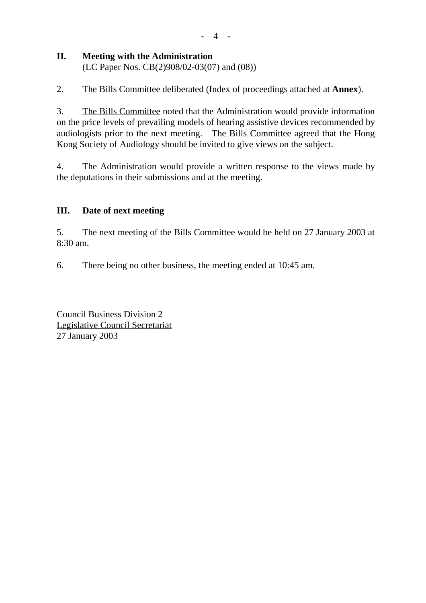#### $-4$  -

## **II. Meeting with the Administration**

(LC Paper Nos. CB(2)908/02-03(07) and (08))

2. The Bills Committee deliberated (Index of proceedings attached at **Annex**).

3. The Bills Committee noted that the Administration would provide information on the price levels of prevailing models of hearing assistive devices recommended by audiologists prior to the next meeting. The Bills Committee agreed that the Hong Kong Society of Audiology should be invited to give views on the subject.

4. The Administration would provide a written response to the views made by the deputations in their submissions and at the meeting.

## **III. Date of next meeting**

5. The next meeting of the Bills Committee would be held on 27 January 2003 at 8:30 am.

6. There being no other business, the meeting ended at 10:45 am.

Council Business Division 2 Legislative Council Secretariat 27 January 2003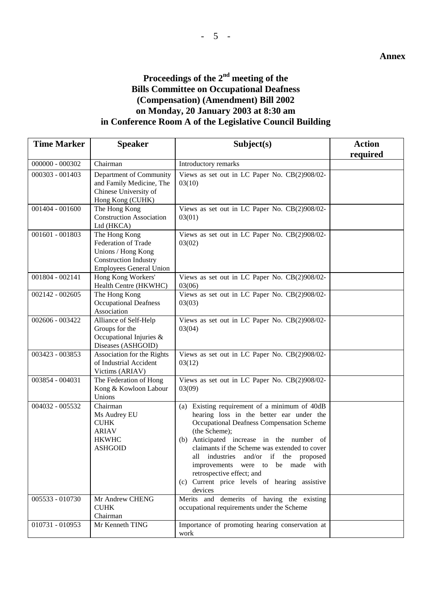# **Proceedings of the 2nd meeting of the Bills Committee on Occupational Deafness (Compensation) (Amendment) Bill 2002 on Monday, 20 January 2003 at 8:30 am in Conference Room A of the Legislative Council Building**

| <b>Time Marker</b> | <b>Speaker</b>                                                                                                                      | Subject(s)                                                                                                                                                                                                                                                                                                                                                                                                                   | <b>Action</b> |
|--------------------|-------------------------------------------------------------------------------------------------------------------------------------|------------------------------------------------------------------------------------------------------------------------------------------------------------------------------------------------------------------------------------------------------------------------------------------------------------------------------------------------------------------------------------------------------------------------------|---------------|
|                    |                                                                                                                                     |                                                                                                                                                                                                                                                                                                                                                                                                                              | required      |
| $000000 - 000302$  | Chairman                                                                                                                            | Introductory remarks                                                                                                                                                                                                                                                                                                                                                                                                         |               |
| 000303 - 001403    | Department of Community<br>and Family Medicine, The<br>Chinese University of<br>Hong Kong (CUHK)                                    | Views as set out in LC Paper No. CB(2)908/02-<br>03(10)                                                                                                                                                                                                                                                                                                                                                                      |               |
| $001404 - 001600$  | The Hong Kong<br><b>Construction Association</b><br>Ltd (HKCA)                                                                      | Views as set out in LC Paper No. CB(2)908/02-<br>03(01)                                                                                                                                                                                                                                                                                                                                                                      |               |
| 001601 - 001803    | The Hong Kong<br><b>Federation of Trade</b><br>Unions / Hong Kong<br><b>Construction Industry</b><br><b>Employees General Union</b> | Views as set out in LC Paper No. CB(2)908/02-<br>03(02)                                                                                                                                                                                                                                                                                                                                                                      |               |
| 001804 - 002141    | Hong Kong Workers'<br>Health Centre (HKWHC)                                                                                         | Views as set out in LC Paper No. CB(2)908/02-<br>03(06)                                                                                                                                                                                                                                                                                                                                                                      |               |
| $002142 - 002605$  | The Hong Kong<br><b>Occupational Deafness</b><br>Association                                                                        | Views as set out in LC Paper No. CB(2)908/02-<br>03(03)                                                                                                                                                                                                                                                                                                                                                                      |               |
| 002606 - 003422    | Alliance of Self-Help<br>Groups for the<br>Occupational Injuries &<br>Diseases (ASHGOID)                                            | Views as set out in LC Paper No. CB(2)908/02-<br>03(04)                                                                                                                                                                                                                                                                                                                                                                      |               |
| 003423 - 003853    | Association for the Rights<br>of Industrial Accident<br>Victims (ARIAV)                                                             | Views as set out in LC Paper No. CB(2)908/02-<br>03(12)                                                                                                                                                                                                                                                                                                                                                                      |               |
| 003854 - 004031    | The Federation of Hong<br>Kong & Kowloon Labour<br>Unions                                                                           | Views as set out in LC Paper No. CB(2)908/02-<br>03(09)                                                                                                                                                                                                                                                                                                                                                                      |               |
| 004032 - 005532    | Chairman<br>Ms Audrey EU<br><b>CUHK</b><br><b>ARIAV</b><br><b>HKWHC</b><br><b>ASHGOID</b>                                           | (a) Existing requirement of a minimum of 40dB<br>hearing loss in the better ear under the<br>Occupational Deafness Compensation Scheme<br>(the Scheme);<br>(b) Anticipated increase in the number of<br>claimants if the Scheme was extended to cover<br>all industries and/or if the proposed<br>improvements were to be made with<br>retrospective effect; and<br>(c) Current price levels of hearing assistive<br>devices |               |
| 005533 - 010730    | Mr Andrew CHENG<br><b>CUHK</b><br>Chairman                                                                                          | Merits and demerits of having the existing<br>occupational requirements under the Scheme                                                                                                                                                                                                                                                                                                                                     |               |
| 010731 - 010953    | Mr Kenneth TING                                                                                                                     | Importance of promoting hearing conservation at<br>work                                                                                                                                                                                                                                                                                                                                                                      |               |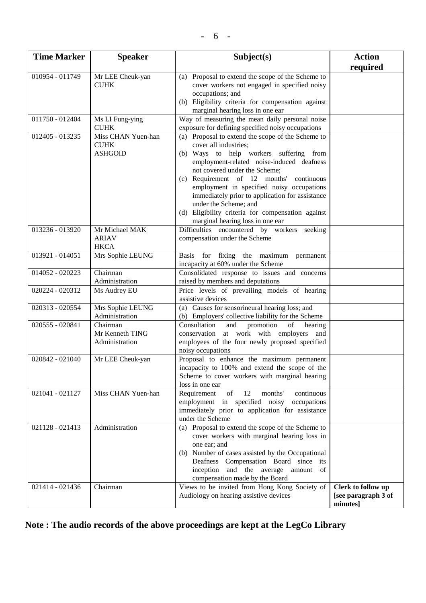| <b>Time Marker</b> | <b>Speaker</b>                                      | Subject(s)                                                                                                                                                                                                                                                                                                                                                                                                                                                        | <b>Action</b>                                         |
|--------------------|-----------------------------------------------------|-------------------------------------------------------------------------------------------------------------------------------------------------------------------------------------------------------------------------------------------------------------------------------------------------------------------------------------------------------------------------------------------------------------------------------------------------------------------|-------------------------------------------------------|
|                    |                                                     |                                                                                                                                                                                                                                                                                                                                                                                                                                                                   | required                                              |
| 010954 - 011749    | Mr LEE Cheuk-yan<br><b>CUHK</b>                     | (a) Proposal to extend the scope of the Scheme to<br>cover workers not engaged in specified noisy<br>occupations; and<br>(b) Eligibility criteria for compensation against<br>marginal hearing loss in one ear                                                                                                                                                                                                                                                    |                                                       |
| 011750 - 012404    | Ms LI Fung-ying<br><b>CUHK</b>                      | Way of measuring the mean daily personal noise<br>exposure for defining specified noisy occupations                                                                                                                                                                                                                                                                                                                                                               |                                                       |
| 012405 - 013235    | Miss CHAN Yuen-han<br><b>CUHK</b><br><b>ASHGOID</b> | (a) Proposal to extend the scope of the Scheme to<br>cover all industries;<br>(b) Ways to help workers suffering from<br>employment-related noise-induced deafness<br>not covered under the Scheme;<br>(c) Requirement of 12 months' continuous<br>employment in specified noisy occupations<br>immediately prior to application for assistance<br>under the Scheme; and<br>(d) Eligibility criteria for compensation against<br>marginal hearing loss in one ear |                                                       |
| 013236 - 013920    | Mr Michael MAK<br><b>ARIAV</b><br><b>HKCA</b>       | Difficulties encountered by workers seeking<br>compensation under the Scheme                                                                                                                                                                                                                                                                                                                                                                                      |                                                       |
| 013921 - 014051    | Mrs Sophie LEUNG                                    | for fixing the maximum<br><b>Basis</b><br>permanent<br>incapacity at 60% under the Scheme                                                                                                                                                                                                                                                                                                                                                                         |                                                       |
| 014052 - 020223    | Chairman<br>Administration                          | Consolidated response to issues and concerns<br>raised by members and deputations                                                                                                                                                                                                                                                                                                                                                                                 |                                                       |
| 020224 - 020312    | Ms Audrey EU                                        | Price levels of prevailing models of hearing<br>assistive devices                                                                                                                                                                                                                                                                                                                                                                                                 |                                                       |
| 020313 - 020554    | Mrs Sophie LEUNG<br>Administration                  | (a) Causes for sensorineural hearing loss; and<br>(b) Employers' collective liability for the Scheme                                                                                                                                                                                                                                                                                                                                                              |                                                       |
| 020555 - 020841    | Chairman<br>Mr Kenneth TING<br>Administration       | Consultation<br>and<br>promotion<br>of<br>hearing<br>conservation at work with employers<br>and<br>employees of the four newly proposed specified<br>noisy occupations                                                                                                                                                                                                                                                                                            |                                                       |
| 020842 - 021040    | Mr LEE Cheuk-yan                                    | Proposal to enhance the maximum permanent<br>incapacity to 100% and extend the scope of the<br>Scheme to cover workers with marginal hearing<br>loss in one ear                                                                                                                                                                                                                                                                                                   |                                                       |
| 021041 - 021127    | Miss CHAN Yuen-han                                  | months'<br>Requirement<br>of<br>12<br>continuous<br>employment in specified noisy<br>occupations<br>immediately prior to application for assistance<br>under the Scheme                                                                                                                                                                                                                                                                                           |                                                       |
| 021128 - 021413    | Administration                                      | (a) Proposal to extend the scope of the Scheme to<br>cover workers with marginal hearing loss in<br>one ear; and<br>(b) Number of cases assisted by the Occupational<br>Deafness Compensation Board since its<br>inception and the average<br>amount of<br>compensation made by the Board                                                                                                                                                                         |                                                       |
| 021414 - 021436    | Chairman                                            | Views to be invited from Hong Kong Society of<br>Audiology on hearing assistive devices                                                                                                                                                                                                                                                                                                                                                                           | Clerk to follow up<br>[see paragraph 3 of<br>minutes] |

**Note : The audio records of the above proceedings are kept at the LegCo Library**